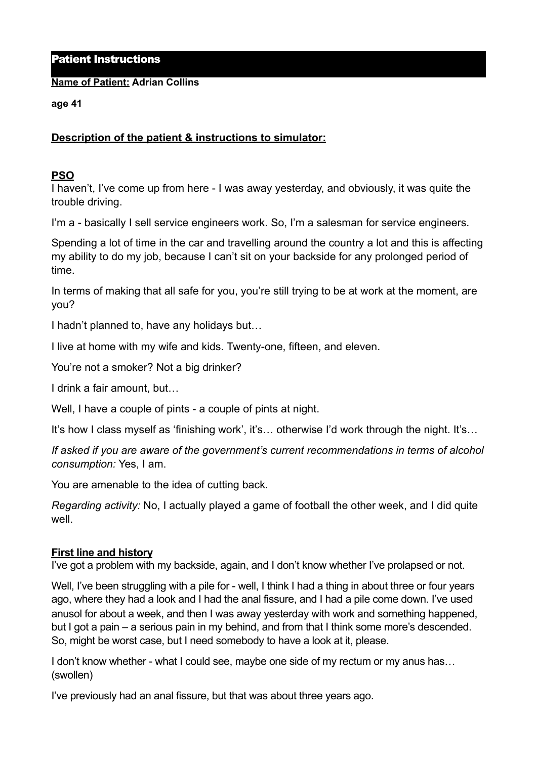## Patient Instructions

#### **Name of Patient: Adrian Collins**

#### **age 41**

# **Description of the patient & instructions to simulator:**

## **PSO**

I haven't, I've come up from here - I was away yesterday, and obviously, it was quite the trouble driving.

I'm a - basically I sell service engineers work. So, I'm a salesman for service engineers.

Spending a lot of time in the car and travelling around the country a lot and this is affecting my ability to do my job, because I can't sit on your backside for any prolonged period of time.

In terms of making that all safe for you, you're still trying to be at work at the moment, are you?

I hadn't planned to, have any holidays but…

I live at home with my wife and kids. Twenty-one, fifteen, and eleven.

You're not a smoker? Not a big drinker?

I drink a fair amount, but…

Well, I have a couple of pints - a couple of pints at night.

It's how I class myself as 'finishing work', it's... otherwise I'd work through the night. It's...

*If asked if you are aware of the government's current recommendations in terms of alcohol consumption:* Yes, I am.

You are amenable to the idea of cutting back.

*Regarding activity:* No, I actually played a game of football the other week, and I did quite well.

# **First line and history**

I've got a problem with my backside, again, and I don't know whether I've prolapsed or not.

Well, I've been struggling with a pile for - well, I think I had a thing in about three or four years ago, where they had a look and I had the anal fissure, and I had a pile come down. I've used anusol for about a week, and then I was away yesterday with work and something happened, but I got a pain – a serious pain in my behind, and from that I think some more's descended. So, might be worst case, but I need somebody to have a look at it, please.

I don't know whether - what I could see, maybe one side of my rectum or my anus has... (swollen)

I've previously had an anal fissure, but that was about three years ago.